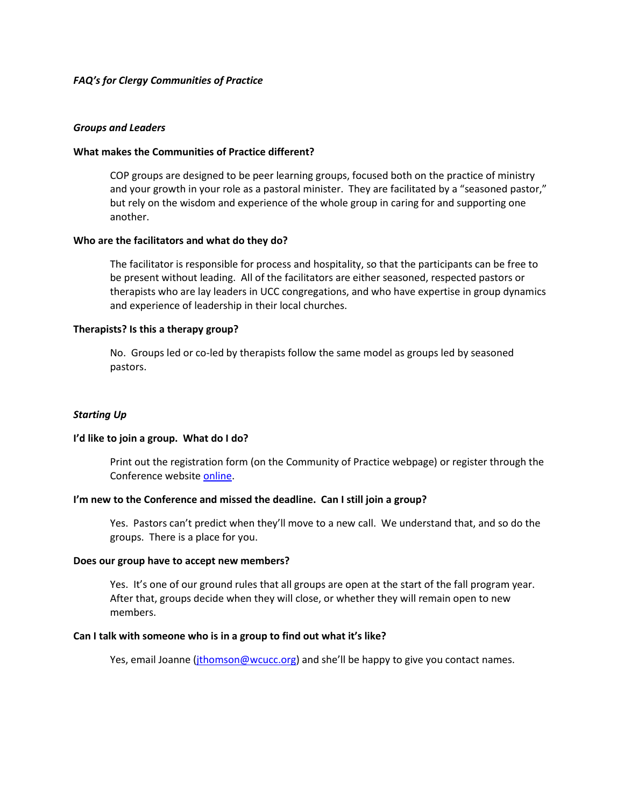# *FAQ's for Clergy Communities of Practice*

## *Groups and Leaders*

## **What makes the Communities of Practice different?**

COP groups are designed to be peer learning groups, focused both on the practice of ministry and your growth in your role as a pastoral minister. They are facilitated by a "seasoned pastor," but rely on the wisdom and experience of the whole group in caring for and supporting one another.

### **Who are the facilitators and what do they do?**

The facilitator is responsible for process and hospitality, so that the participants can be free to be present without leading. All of the facilitators are either seasoned, respected pastors or therapists who are lay leaders in UCC congregations, and who have expertise in group dynamics and experience of leadership in their local churches.

### **Therapists? Is this a therapy group?**

No. Groups led or co-led by therapists follow the same model as groups led by seasoned pastors.

## *Starting Up*

#### **I'd like to join a group. What do I do?**

Print out the registration form (on the Community of Practice webpage) or register through the Conference websit[e online.](http://www.wcucc.org/index.asp?menuid=507&firstlevelmenuid=179&siteid=1)

## **I'm new to the Conference and missed the deadline. Can I still join a group?**

Yes. Pastors can't predict when they'll move to a new call. We understand that, and so do the groups. There is a place for you.

#### **Does our group have to accept new members?**

Yes. It's one of our ground rules that all groups are open at the start of the fall program year. After that, groups decide when they will close, or whether they will remain open to new members.

#### **Can I talk with someone who is in a group to find out what it's like?**

Yes, email Joanne [\(jthomson@wcucc.org](mailto:jthomson@wcucc.org)) and she'll be happy to give you contact names.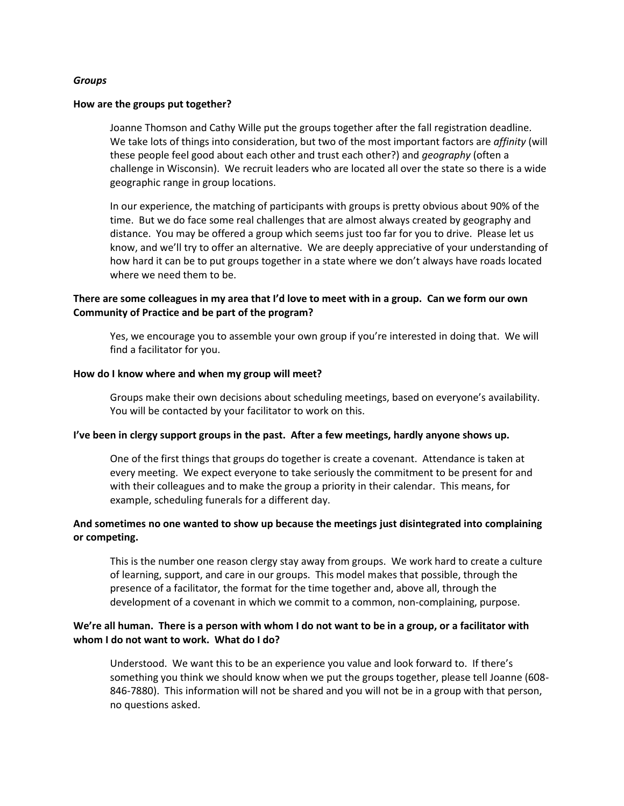## *Groups*

### **How are the groups put together?**

Joanne Thomson and Cathy Wille put the groups together after the fall registration deadline. We take lots of things into consideration, but two of the most important factors are *affinity* (will these people feel good about each other and trust each other?) and *geography* (often a challenge in Wisconsin). We recruit leaders who are located all over the state so there is a wide geographic range in group locations.

In our experience, the matching of participants with groups is pretty obvious about 90% of the time. But we do face some real challenges that are almost always created by geography and distance. You may be offered a group which seems just too far for you to drive. Please let us know, and we'll try to offer an alternative. We are deeply appreciative of your understanding of how hard it can be to put groups together in a state where we don't always have roads located where we need them to be.

# **There are some colleagues in my area that I'd love to meet with in a group. Can we form our own Community of Practice and be part of the program?**

Yes, we encourage you to assemble your own group if you're interested in doing that. We will find a facilitator for you.

#### **How do I know where and when my group will meet?**

Groups make their own decisions about scheduling meetings, based on everyone's availability. You will be contacted by your facilitator to work on this.

#### **I've been in clergy support groups in the past. After a few meetings, hardly anyone shows up.**

One of the first things that groups do together is create a covenant. Attendance is taken at every meeting. We expect everyone to take seriously the commitment to be present for and with their colleagues and to make the group a priority in their calendar. This means, for example, scheduling funerals for a different day.

# **And sometimes no one wanted to show up because the meetings just disintegrated into complaining or competing.**

This is the number one reason clergy stay away from groups. We work hard to create a culture of learning, support, and care in our groups. This model makes that possible, through the presence of a facilitator, the format for the time together and, above all, through the development of a covenant in which we commit to a common, non-complaining, purpose.

# **We're all human. There is a person with whom I do not want to be in a group, or a facilitator with whom I do not want to work. What do I do?**

Understood. We want this to be an experience you value and look forward to. If there's something you think we should know when we put the groups together, please tell Joanne (608- 846-7880). This information will not be shared and you will not be in a group with that person, no questions asked.